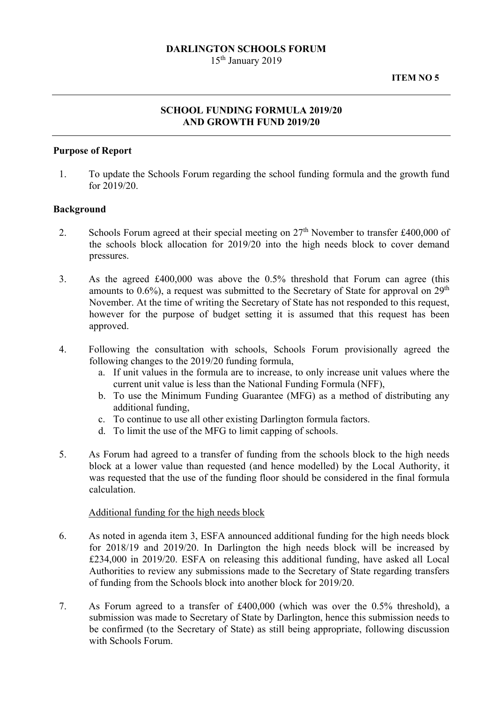### **DARLINGTON SCHOOLS FORUM**

15th January 2019

# **SCHOOL FUNDING FORMULA 2019/20 AND GROWTH FUND 2019/20**

### **Purpose of Report**

1. To update the Schools Forum regarding the school funding formula and the growth fund for 2019/20.

#### **Background**

- 2. Schools Forum agreed at their special meeting on  $27<sup>th</sup>$  November to transfer £400,000 of the schools block allocation for 2019/20 into the high needs block to cover demand pressures.
- 3. As the agreed £400,000 was above the 0.5% threshold that Forum can agree (this amounts to  $0.6\%$ ), a request was submitted to the Secretary of State for approval on  $29<sup>th</sup>$ November. At the time of writing the Secretary of State has not responded to this request, however for the purpose of budget setting it is assumed that this request has been approved.
- 4. Following the consultation with schools, Schools Forum provisionally agreed the following changes to the 2019/20 funding formula,
	- a. If unit values in the formula are to increase, to only increase unit values where the current unit value is less than the National Funding Formula (NFF),
	- b. To use the Minimum Funding Guarantee (MFG) as a method of distributing any additional funding,
	- c. To continue to use all other existing Darlington formula factors.
	- d. To limit the use of the MFG to limit capping of schools.
- 5. As Forum had agreed to a transfer of funding from the schools block to the high needs block at a lower value than requested (and hence modelled) by the Local Authority, it was requested that the use of the funding floor should be considered in the final formula calculation.

#### Additional funding for the high needs block

- 6. As noted in agenda item 3, ESFA announced additional funding for the high needs block for 2018/19 and 2019/20. In Darlington the high needs block will be increased by £234,000 in 2019/20. ESFA on releasing this additional funding, have asked all Local Authorities to review any submissions made to the Secretary of State regarding transfers of funding from the Schools block into another block for 2019/20.
- 7. As Forum agreed to a transfer of £400,000 (which was over the 0.5% threshold), a submission was made to Secretary of State by Darlington, hence this submission needs to be confirmed (to the Secretary of State) as still being appropriate, following discussion with Schools Forum.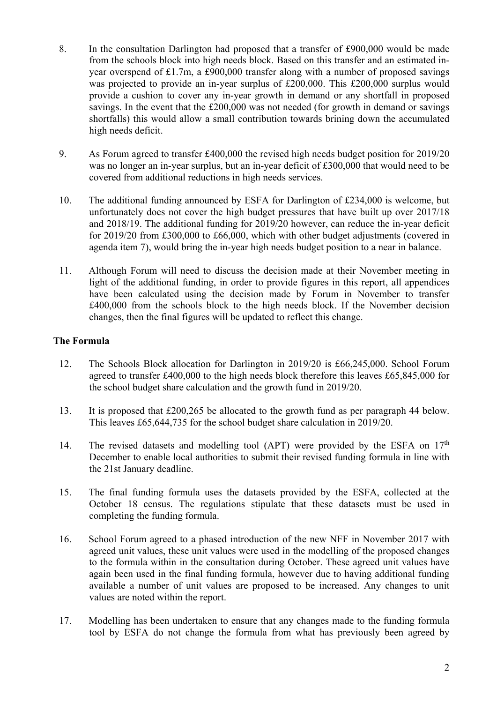- 8. In the consultation Darlington had proposed that a transfer of £900,000 would be made from the schools block into high needs block. Based on this transfer and an estimated inyear overspend of £1.7m, a £900,000 transfer along with a number of proposed savings was projected to provide an in-year surplus of £200,000. This £200,000 surplus would provide a cushion to cover any in-year growth in demand or any shortfall in proposed savings. In the event that the £200,000 was not needed (for growth in demand or savings shortfalls) this would allow a small contribution towards brining down the accumulated high needs deficit.
- 9. As Forum agreed to transfer £400,000 the revised high needs budget position for 2019/20 was no longer an in-year surplus, but an in-year deficit of £300,000 that would need to be covered from additional reductions in high needs services.
- 10. The additional funding announced by ESFA for Darlington of £234,000 is welcome, but unfortunately does not cover the high budget pressures that have built up over 2017/18 and 2018/19. The additional funding for 2019/20 however, can reduce the in-year deficit for 2019/20 from £300,000 to £66,000, which with other budget adjustments (covered in agenda item 7), would bring the in-year high needs budget position to a near in balance.
- 11. Although Forum will need to discuss the decision made at their November meeting in light of the additional funding, in order to provide figures in this report, all appendices have been calculated using the decision made by Forum in November to transfer £400,000 from the schools block to the high needs block. If the November decision changes, then the final figures will be updated to reflect this change.

## **The Formula**

- 12. The Schools Block allocation for Darlington in 2019/20 is £66,245,000. School Forum agreed to transfer £400,000 to the high needs block therefore this leaves £65,845,000 for the school budget share calculation and the growth fund in 2019/20.
- 13. It is proposed that £200,265 be allocated to the growth fund as per paragraph 44 below. This leaves £65,644,735 for the school budget share calculation in 2019/20.
- 14. The revised datasets and modelling tool (APT) were provided by the ESFA on  $17<sup>th</sup>$ December to enable local authorities to submit their revised funding formula in line with the 21st January deadline.
- 15. The final funding formula uses the datasets provided by the ESFA, collected at the October 18 census. The regulations stipulate that these datasets must be used in completing the funding formula.
- 16. School Forum agreed to a phased introduction of the new NFF in November 2017 with agreed unit values, these unit values were used in the modelling of the proposed changes to the formula within in the consultation during October. These agreed unit values have again been used in the final funding formula, however due to having additional funding available a number of unit values are proposed to be increased. Any changes to unit values are noted within the report.
- 17. Modelling has been undertaken to ensure that any changes made to the funding formula tool by ESFA do not change the formula from what has previously been agreed by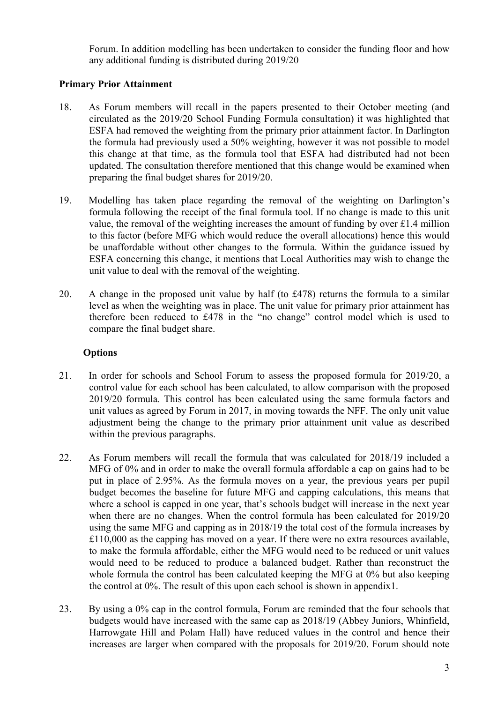Forum. In addition modelling has been undertaken to consider the funding floor and how any additional funding is distributed during 2019/20

## **Primary Prior Attainment**

- 18. As Forum members will recall in the papers presented to their October meeting (and circulated as the 2019/20 School Funding Formula consultation) it was highlighted that ESFA had removed the weighting from the primary prior attainment factor. In Darlington the formula had previously used a 50% weighting, however it was not possible to model this change at that time, as the formula tool that ESFA had distributed had not been updated. The consultation therefore mentioned that this change would be examined when preparing the final budget shares for 2019/20.
- 19. Modelling has taken place regarding the removal of the weighting on Darlington's formula following the receipt of the final formula tool. If no change is made to this unit value, the removal of the weighting increases the amount of funding by over £1.4 million to this factor (before MFG which would reduce the overall allocations) hence this would be unaffordable without other changes to the formula. Within the guidance issued by ESFA concerning this change, it mentions that Local Authorities may wish to change the unit value to deal with the removal of the weighting.
- therefore been reduced to £478 in the "no change" control model which is used to 20. A change in the proposed unit value by half (to £478) returns the formula to a similar level as when the weighting was in place. The unit value for primary prior attainment has compare the final budget share.

### **Options**

- 21. In order for schools and School Forum to assess the proposed formula for 2019/20, a control value for each school has been calculated, to allow comparison with the proposed 2019/20 formula. This control has been calculated using the same formula factors and unit values as agreed by Forum in 2017, in moving towards the NFF. The only unit value adjustment being the change to the primary prior attainment unit value as described within the previous paragraphs.
- 22. As Forum members will recall the formula that was calculated for 2018/19 included a MFG of 0% and in order to make the overall formula affordable a cap on gains had to be put in place of 2.95%. As the formula moves on a year, the previous years per pupil budget becomes the baseline for future MFG and capping calculations, this means that where a school is capped in one year, that's schools budget will increase in the next year when there are no changes. When the control formula has been calculated for 2019/20 using the same MFG and capping as in 2018/19 the total cost of the formula increases by £110,000 as the capping has moved on a year. If there were no extra resources available, to make the formula affordable, either the MFG would need to be reduced or unit values would need to be reduced to produce a balanced budget. Rather than reconstruct the whole formula the control has been calculated keeping the MFG at 0% but also keeping the control at 0%. The result of this upon each school is shown in appendix1.
- 23. By using a 0% cap in the control formula, Forum are reminded that the four schools that budgets would have increased with the same cap as 2018/19 (Abbey Juniors, Whinfield, Harrowgate Hill and Polam Hall) have reduced values in the control and hence their increases are larger when compared with the proposals for 2019/20. Forum should note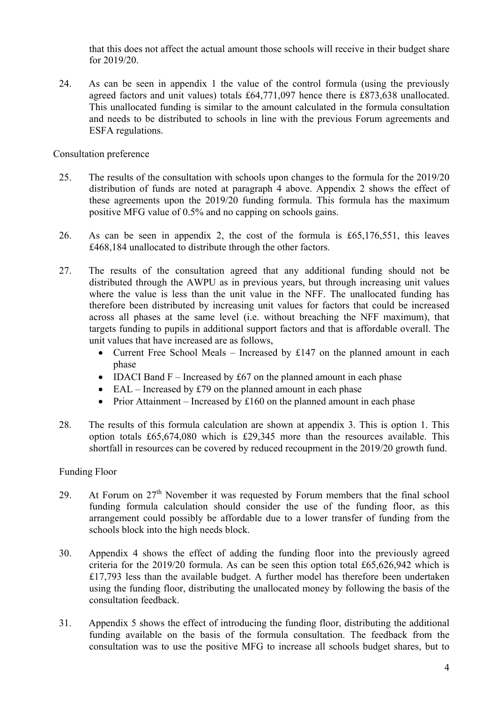that this does not affect the actual amount those schools will receive in their budget share for 2019/20.

24. As can be seen in appendix 1 the value of the control formula (using the previously agreed factors and unit values) totals £64,771,097 hence there is £873,638 unallocated. This unallocated funding is similar to the amount calculated in the formula consultation and needs to be distributed to schools in line with the previous Forum agreements and ESFA regulations.

Consultation preference

- 25. The results of the consultation with schools upon changes to the formula for the 2019/20 distribution of funds are noted at paragraph 4 above. Appendix 2 shows the effect of these agreements upon the 2019/20 funding formula. This formula has the maximum positive MFG value of 0.5% and no capping on schools gains.
- 26. As can be seen in appendix 2, the cost of the formula is £65,176,551, this leaves £468,184 unallocated to distribute through the other factors.
- across all phases at the same level (i.e. without breaching the NFF maximum), that 27. The results of the consultation agreed that any additional funding should not be distributed through the AWPU as in previous years, but through increasing unit values where the value is less than the unit value in the NFF. The unallocated funding has therefore been distributed by increasing unit values for factors that could be increased targets funding to pupils in additional support factors and that is affordable overall. The unit values that have increased are as follows,
	- Current Free School Meals Increased by £147 on the planned amount in each phase
	- IDACI Band  $F$  Increased by £67 on the planned amount in each phase
	- $\bullet$  EAL Increased by £79 on the planned amount in each phase
	- Prior Attainment Increased by  $£160$  on the planned amount in each phase
- 28. The results of this formula calculation are shown at appendix 3. This is option 1. This option totals £65,674,080 which is £29,345 more than the resources available. This shortfall in resources can be covered by reduced recoupment in the 2019/20 growth fund.

#### Funding Floor

- 29. At Forum on  $27<sup>th</sup>$  November it was requested by Forum members that the final school funding formula calculation should consider the use of the funding floor, as this arrangement could possibly be affordable due to a lower transfer of funding from the schools block into the high needs block.
- 30. Appendix 4 shows the effect of adding the funding floor into the previously agreed criteria for the 2019/20 formula. As can be seen this option total £65,626,942 which is £17,793 less than the available budget. A further model has therefore been undertaken using the funding floor, distributing the unallocated money by following the basis of the consultation feedback.
- 31. Appendix 5 shows the effect of introducing the funding floor, distributing the additional funding available on the basis of the formula consultation. The feedback from the consultation was to use the positive MFG to increase all schools budget shares, but to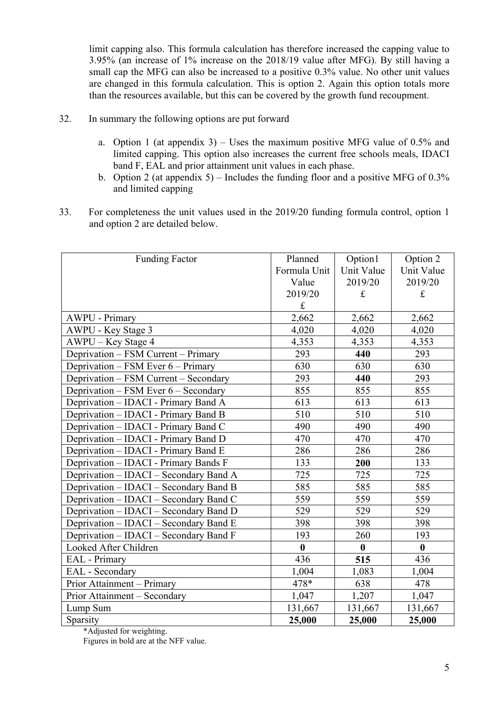limit capping also. This formula calculation has therefore increased the capping value to 3.95% (an increase of 1% increase on the 2018/19 value after MFG). By still having a small cap the MFG can also be increased to a positive 0.3% value. No other unit values are changed in this formula calculation. This is option 2. Again this option totals more than the resources available, but this can be covered by the growth fund recoupment.

- 32. In summary the following options are put forward
	- a. Option 1 (at appendix 3) Uses the maximum positive MFG value of 0.5% and limited capping. This option also increases the current free schools meals, IDACI band F, EAL and prior attainment unit values in each phase.
	- b. Option 2 (at appendix 5) Includes the funding floor and a positive MFG of  $0.3\%$ and limited capping
- 33. For completeness the unit values used in the 2019/20 funding formula control, option 1 and option 2 are detailed below.

| <b>Funding Factor</b>                  | Planned          | Option1          | Option 2         |
|----------------------------------------|------------------|------------------|------------------|
|                                        | Formula Unit     | Unit Value       | Unit Value       |
|                                        | Value            | 2019/20          | 2019/20          |
|                                        | 2019/20          | $\mathbf f$      | £                |
|                                        | $\mathbf f$      |                  |                  |
| <b>AWPU - Primary</b>                  | 2,662            | 2,662            | 2,662            |
| AWPU - Key Stage 3                     | 4,020            | 4,020            | 4,020            |
| AWPU – Key Stage 4                     | 4,353            | 4,353            | 4,353            |
| Deprivation – FSM Current – Primary    | 293              | 440              | 293              |
| Deprivation – FSM Ever 6 – Primary     | 630              | 630              | 630              |
| Deprivation – FSM Current – Secondary  | 293              | 440              | 293              |
| Deprivation - FSM Ever 6 - Secondary   | 855              | 855              | 855              |
| Deprivation - IDACI - Primary Band A   | 613              | 613              | 613              |
| Deprivation - IDACI - Primary Band B   | 510              | 510              | 510              |
| Deprivation - IDACI - Primary Band C   | 490              | 490              | 490              |
| Deprivation - IDACI - Primary Band D   | 470              | 470              | 470              |
| Deprivation - IDACI - Primary Band E   | 286              | 286              | 286              |
| Deprivation - IDACI - Primary Bands F  | 133              | 200              | 133              |
| Deprivation - IDACI - Secondary Band A | 725              | 725              | 725              |
| Deprivation – IDACI – Secondary Band B | 585              | 585              | 585              |
| Deprivation - IDACI - Secondary Band C | 559              | 559              | 559              |
| Deprivation - IDACI - Secondary Band D | 529              | 529              | 529              |
| Deprivation - IDACI - Secondary Band E | 398              | 398              | 398              |
| Deprivation - IDACI - Secondary Band F | 193              | 260              | 193              |
| Looked After Children                  | $\boldsymbol{0}$ | $\boldsymbol{0}$ | $\boldsymbol{0}$ |
| EAL - Primary                          | 436              | 515              | 436              |
| EAL - Secondary                        | 1,004            | 1,083            | 1,004            |
| Prior Attainment - Primary             | 478*             | 638              | 478              |
| Prior Attainment - Secondary           | 1,047            | 1,207            | 1,047            |
| Lump Sum                               | 131,667          | 131,667          | 131,667          |
| Sparsity                               | 25,000           | 25,000           | 25,000           |

\*Adjusted for weighting.

Figures in bold are at the NFF value.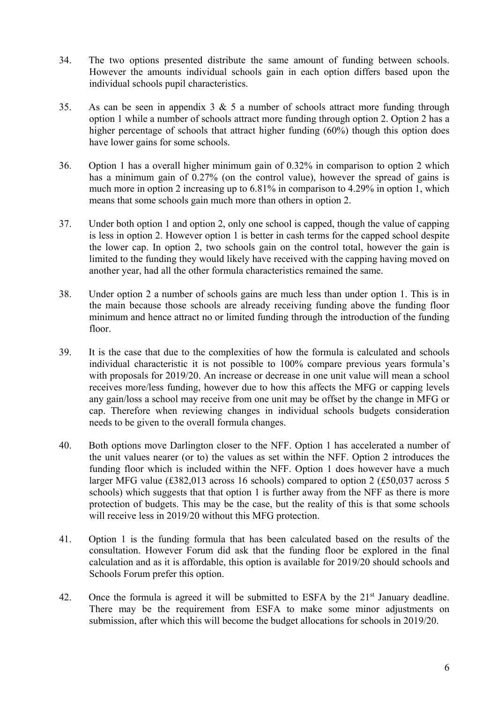- 34. The two options presented distribute the same amount of funding between schools. However the amounts individual schools gain in each option differs based upon the individual schools pupil characteristics.
- 35. As can be seen in appendix  $3 \& 5$  a number of schools attract more funding through option 1 while a number of schools attract more funding through option 2. Option 2 has a higher percentage of schools that attract higher funding (60%) though this option does have lower gains for some schools.
- 36. Option 1 has a overall higher minimum gain of 0.32% in comparison to option 2 which has a minimum gain of 0.27% (on the control value), however the spread of gains is much more in option 2 increasing up to 6.81% in comparison to 4.29% in option 1, which means that some schools gain much more than others in option 2.
- 37. Under both option 1 and option 2, only one school is capped, though the value of capping is less in option 2. However option 1 is better in cash terms for the capped school despite the lower cap. In option 2, two schools gain on the control total, however the gain is limited to the funding they would likely have received with the capping having moved on another year, had all the other formula characteristics remained the same.
- 38. Under option 2 a number of schools gains are much less than under option 1. This is in the main because those schools are already receiving funding above the funding floor minimum and hence attract no or limited funding through the introduction of the funding floor.
- 39. It is the case that due to the complexities of how the formula is calculated and schools individual characteristic it is not possible to 100% compare previous years formula's with proposals for 2019/20. An increase or decrease in one unit value will mean a school receives more/less funding, however due to how this affects the MFG or capping levels any gain/loss a school may receive from one unit may be offset by the change in MFG or cap. Therefore when reviewing changes in individual schools budgets consideration needs to be given to the overall formula changes.
- schools) which suggests that that option 1 is further away from the NFF as there is more 40. Both options move Darlington closer to the NFF. Option 1 has accelerated a number of the unit values nearer (or to) the values as set within the NFF. Option 2 introduces the funding floor which is included within the NFF. Option 1 does however have a much larger MFG value (£382,013 across 16 schools) compared to option 2 (£50,037 across 5 protection of budgets. This may be the case, but the reality of this is that some schools will receive less in 2019/20 without this MFG protection.
- 41. Option 1 is the funding formula that has been calculated based on the results of the consultation. However Forum did ask that the funding floor be explored in the final calculation and as it is affordable, this option is available for 2019/20 should schools and Schools Forum prefer this option.
- 42. Once the formula is agreed it will be submitted to ESFA by the 21<sup>st</sup> January deadline. There may be the requirement from ESFA to make some minor adjustments on submission, after which this will become the budget allocations for schools in 2019/20.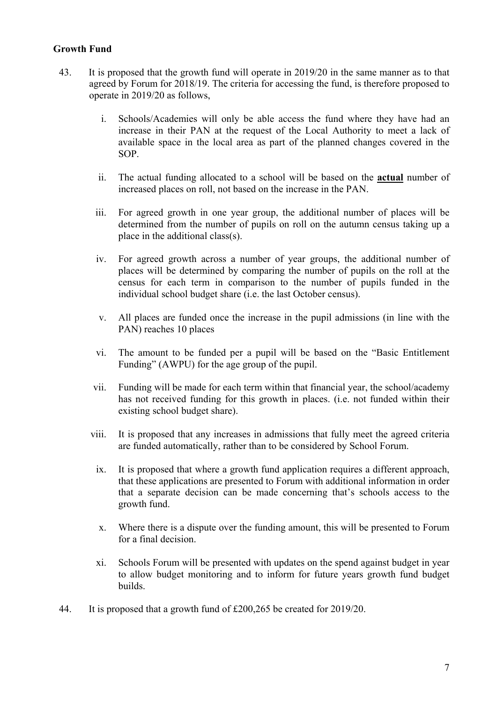## **Growth Fund**

- 43. It is proposed that the growth fund will operate in 2019/20 in the same manner as to that agreed by Forum for 2018/19. The criteria for accessing the fund, is therefore proposed to operate in 2019/20 as follows,
	- i. Schools/Academies will only be able access the fund where they have had an increase in their PAN at the request of the Local Authority to meet a lack of available space in the local area as part of the planned changes covered in the SOP.
	- ii. The actual funding allocated to a school will be based on the **actual** number of increased places on roll, not based on the increase in the PAN.
	- iii. For agreed growth in one year group, the additional number of places will be determined from the number of pupils on roll on the autumn census taking up a place in the additional class(s).
	- iv. For agreed growth across a number of year groups, the additional number of places will be determined by comparing the number of pupils on the roll at the census for each term in comparison to the number of pupils funded in the individual school budget share (i.e. the last October census).
	- v. All places are funded once the increase in the pupil admissions (in line with the PAN) reaches 10 places
	- vi. The amount to be funded per a pupil will be based on the "Basic Entitlement Funding" (AWPU) for the age group of the pupil.
	- vii. Funding will be made for each term within that financial year, the school/academy has not received funding for this growth in places. (i.e. not funded within their existing school budget share).
	- viii. It is proposed that any increases in admissions that fully meet the agreed criteria are funded automatically, rather than to be considered by School Forum.
	- ix. It is proposed that where a growth fund application requires a different approach, that these applications are presented to Forum with additional information in order that a separate decision can be made concerning that's schools access to the growth fund.
	- x. Where there is a dispute over the funding amount, this will be presented to Forum for a final decision.
	- xi. Schools Forum will be presented with updates on the spend against budget in year to allow budget monitoring and to inform for future years growth fund budget builds.
- 44. It is proposed that a growth fund of £200,265 be created for 2019/20.